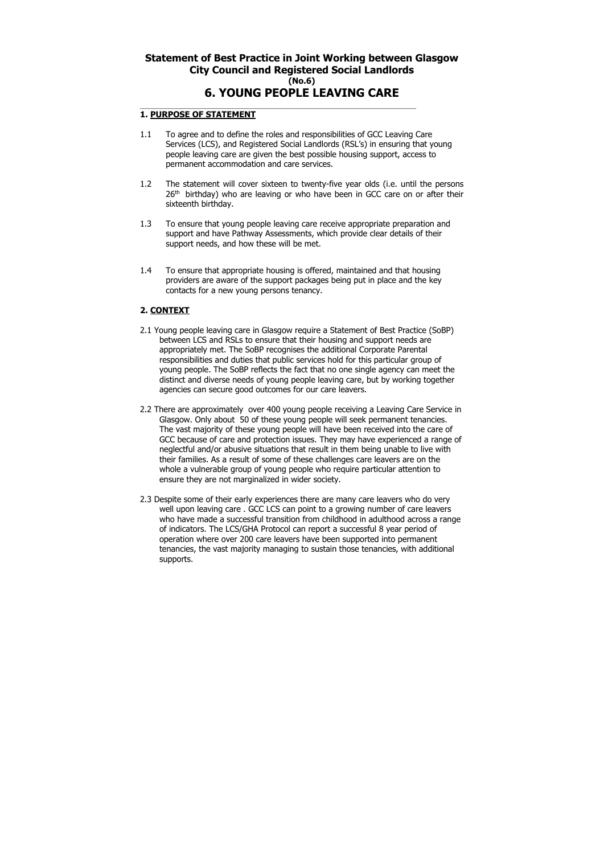# **Statement of Best Practice in Joint Working between Glasgow City Council and Registered Social Landlords (No.6) 6. YOUNG PEOPLE LEAVING CARE**

#### $\mathcal{L}_\text{max}$  and  $\mathcal{L}_\text{max}$  and  $\mathcal{L}_\text{max}$  and  $\mathcal{L}_\text{max}$  and  $\mathcal{L}_\text{max}$  and  $\mathcal{L}_\text{max}$ **1. PURPOSE OF STATEMENT**

- 1.1 To agree and to define the roles and responsibilities of GCC Leaving Care Services (LCS), and Registered Social Landlords (RSL's) in ensuring that young people leaving care are given the best possible housing support, access to permanent accommodation and care services.
- 1.2 The statement will cover sixteen to twenty-five year olds (i.e. until the persons 26<sup>th</sup> birthday) who are leaving or who have been in GCC care on or after their sixteenth birthday.
- 1.3 To ensure that young people leaving care receive appropriate preparation and support and have Pathway Assessments, which provide clear details of their support needs, and how these will be met.
- 1.4 To ensure that appropriate housing is offered, maintained and that housing providers are aware of the support packages being put in place and the key contacts for a new young persons tenancy.

## **2. CONTEXT**

- 2.1 Young people leaving care in Glasgow require a Statement of Best Practice (SoBP) between LCS and RSLs to ensure that their housing and support needs are appropriately met. The SoBP recognises the additional Corporate Parental responsibilities and duties that public services hold for this particular group of young people. The SoBP reflects the fact that no one single agency can meet the distinct and diverse needs of young people leaving care, but by working together agencies can secure good outcomes for our care leavers.
- 2.2 There are approximately over 400 young people receiving a Leaving Care Service in Glasgow. Only about 50 of these young people will seek permanent tenancies. The vast majority of these young people will have been received into the care of GCC because of care and protection issues. They may have experienced a range of neglectful and/or abusive situations that result in them being unable to live with their families. As a result of some of these challenges care leavers are on the whole a vulnerable group of young people who require particular attention to ensure they are not marginalized in wider society.
- 2.3 Despite some of their early experiences there are many care leavers who do very well upon leaving care . GCC LCS can point to a growing number of care leavers who have made a successful transition from childhood in adulthood across a range of indicators. The LCS/GHA Protocol can report a successful 8 year period of operation where over 200 care leavers have been supported into permanent tenancies, the vast majority managing to sustain those tenancies, with additional supports.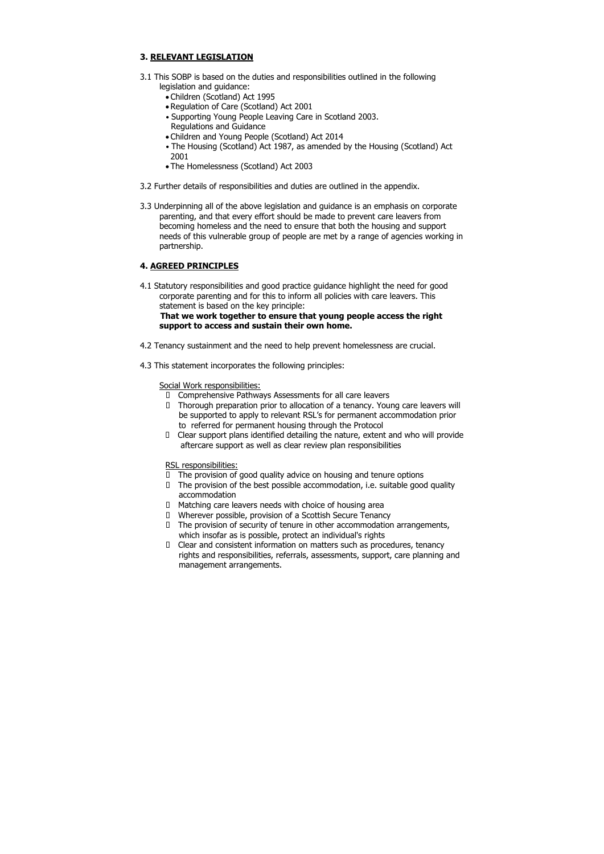# **3. RELEVANT LEGISLATION**

- 3.1 This SOBP is based on the duties and responsibilities outlined in the following legislation and guidance:
	- Children (Scotland) Act 1995
	- Regulation of Care (Scotland) Act 2001
	- Supporting Young People Leaving Care in Scotland 2003. Regulations and Guidance
	- Children and Young People (Scotland) Act 2014
	- The Housing (Scotland) Act 1987, as amended by the Housing (Scotland) Act 2001
	- The Homelessness (Scotland) Act 2003
- 3.2 Further details of responsibilities and duties are outlined in the appendix.
- 3.3 Underpinning all of the above legislation and guidance is an emphasis on corporate parenting, and that every effort should be made to prevent care leavers from becoming homeless and the need to ensure that both the housing and support needs of this vulnerable group of people are met by a range of agencies working in partnership.

## **4. AGREED PRINCIPLES**

4.1 Statutory responsibilities and good practice guidance highlight the need for good corporate parenting and for this to inform all policies with care leavers. This statement is based on the key principle:

## **That we work together to ensure that young people access the right support to access and sustain their own home.**

- $\Box$  The provision of good quality advice on housing and tenure options
- The provision of the best possible accommodation, i.e. suitable good quality accommodation
- Matching care leavers needs with choice of housing area
- Wherever possible, provision of a Scottish Secure Tenancy
- The provision of security of tenure in other accommodation arrangements, which insofar as is possible, protect an individual's rights
- Clear and consistent information on matters such as procedures, tenancy rights and responsibilities, referrals, assessments, support, care planning and management arrangements.

- 4.2 Tenancy sustainment and the need to help prevent homelessness are crucial.
- 4.3 This statement incorporates the following principles:

#### Social Work responsibilities:

- Comprehensive Pathways Assessments for all care leavers
- Thorough preparation prior to allocation of a tenancy. Young care leavers will be supported to apply to relevant RSL's for permanent accommodation prior to referred for permanent housing through the Protocol
- Clear support plans identified detailing the nature, extent and who will provide aftercare support as well as clear review plan responsibilities

#### RSL responsibilities: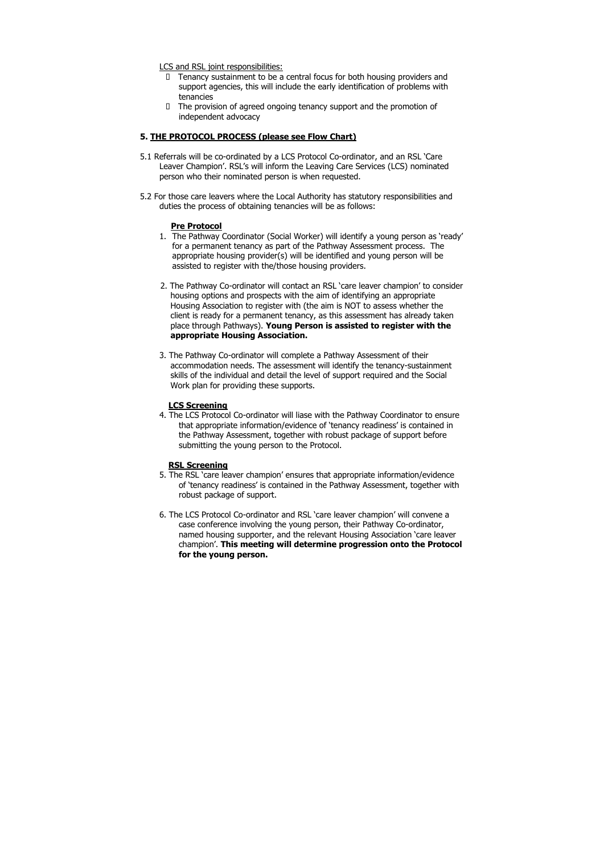LCS and RSL joint responsibilities:

- Tenancy sustainment to be a central focus for both housing providers and support agencies, this will include the early identification of problems with tenancies
- $\Box$  The provision of agreed ongoing tenancy support and the promotion of independent advocacy

## **5. THE PROTOCOL PROCESS (please see Flow Chart)**

- 5.1 Referrals will be co-ordinated by a LCS Protocol Co-ordinator, and an RSL 'Care Leaver Champion'. RSL's will inform the Leaving Care Services (LCS) nominated person who their nominated person is when requested.
- 5.2 For those care leavers where the Local Authority has statutory responsibilities and duties the process of obtaining tenancies will be as follows:

### **Pre Protocol**

- 1. The Pathway Coordinator (Social Worker) will identify a young person as 'ready' for a permanent tenancy as part of the Pathway Assessment process. The appropriate housing provider(s) will be identified and young person will be assisted to register with the/those housing providers.
- 2. The Pathway Co-ordinator will contact an RSL 'care leaver champion' to consider housing options and prospects with the aim of identifying an appropriate Housing Association to register with (the aim is NOT to assess whether the client is ready for a permanent tenancy, as this assessment has already taken place through Pathways). **Young Person is assisted to register with the appropriate Housing Association.**
- 3. The Pathway Co-ordinator will complete a Pathway Assessment of their accommodation needs. The assessment will identify the tenancy-sustainment skills of the individual and detail the level of support required and the Social Work plan for providing these supports.

### **LCS Screening**

4. The LCS Protocol Co-ordinator will liase with the Pathway Coordinator to ensure that appropriate information/evidence of 'tenancy readiness' is contained in the Pathway Assessment, together with robust package of support before submitting the young person to the Protocol.

#### **RSL Screening**

- 5. The RSL 'care leaver champion' ensures that appropriate information/evidence of 'tenancy readiness' is contained in the Pathway Assessment, together with robust package of support.
- 6. The LCS Protocol Co-ordinator and RSL 'care leaver champion' will convene a case conference involving the young person, their Pathway Co-ordinator, named housing supporter, and the relevant Housing Association 'care leaver champion'. **This meeting will determine progression onto the Protocol for the young person.**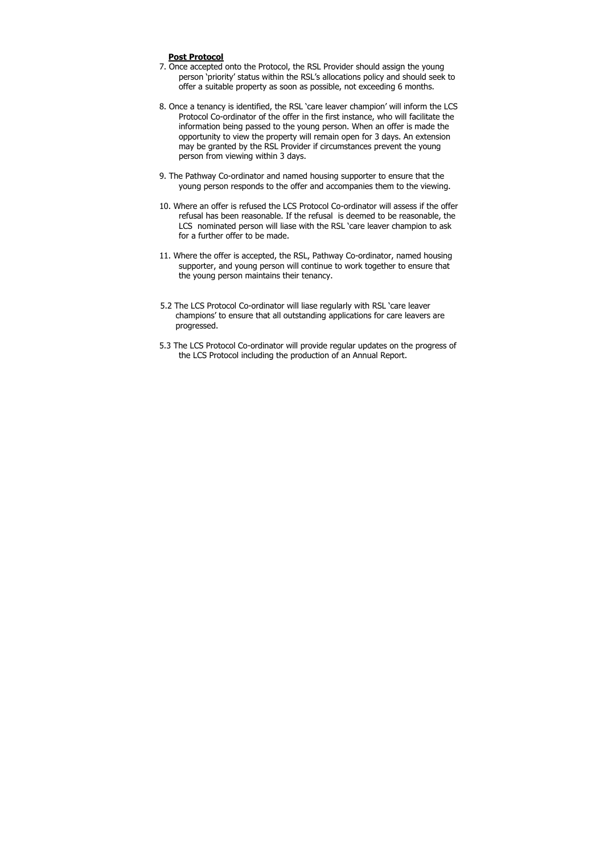## **Post Protocol**

- 7. Once accepted onto the Protocol, the RSL Provider should assign the young person 'priority' status within the RSL's allocations policy and should seek to offer a suitable property as soon as possible, not exceeding 6 months.
- 8. Once a tenancy is identified, the RSL 'care leaver champion' will inform the LCS Protocol Co-ordinator of the offer in the first instance, who will facilitate the information being passed to the young person. When an offer is made the opportunity to view the property will remain open for 3 days. An extension may be granted by the RSL Provider if circumstances prevent the young person from viewing within 3 days.
- 9. The Pathway Co-ordinator and named housing supporter to ensure that the young person responds to the offer and accompanies them to the viewing.
- 10. Where an offer is refused the LCS Protocol Co-ordinator will assess if the offer refusal has been reasonable. If the refusal is deemed to be reasonable, the LCS nominated person will liase with the RSL 'care leaver champion to ask for a further offer to be made.
- 11. Where the offer is accepted, the RSL, Pathway Co-ordinator, named housing supporter, and young person will continue to work together to ensure that the young person maintains their tenancy.
- 5.2 The LCS Protocol Co-ordinator will liase regularly with RSL 'care leaver champions' to ensure that all outstanding applications for care leavers are progressed.
- 5.3 The LCS Protocol Co-ordinator will provide regular updates on the progress of the LCS Protocol including the production of an Annual Report.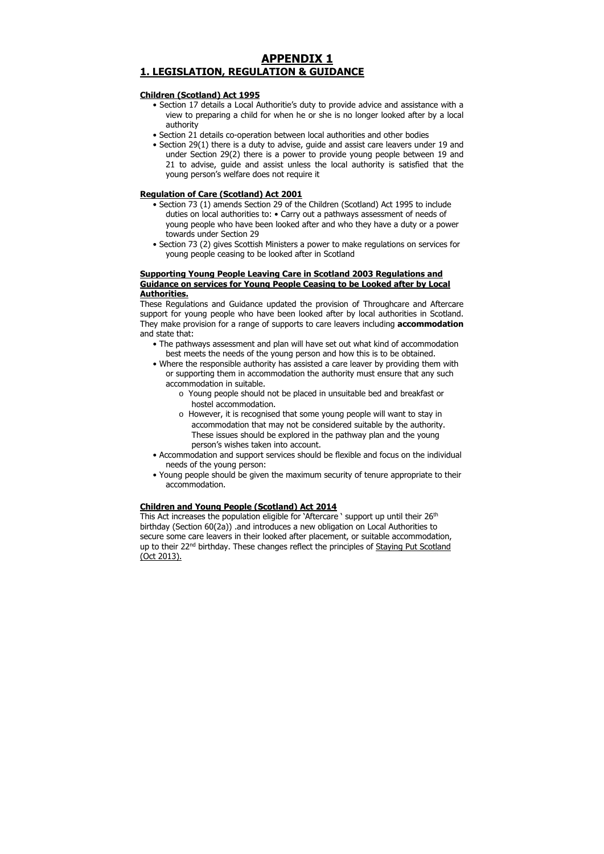# **APPENDIX 1 1. LEGISLATION, REGULATION & GUIDANCE**

# **Children (Scotland) Act 1995**

- Section 17 details a Local Authoritie's duty to provide advice and assistance with a view to preparing a child for when he or she is no longer looked after by a local authority
- Section 21 details co-operation between local authorities and other bodies
- Section 29(1) there is a duty to advise, guide and assist care leavers under 19 and under Section 29(2) there is a power to provide young people between 19 and 21 to advise, guide and assist unless the local authority is satisfied that the young person's welfare does not require it

# **Regulation of Care (Scotland) Act 2001**

- Section 73 (1) amends Section 29 of the Children (Scotland) Act 1995 to include duties on local authorities to: • Carry out a pathways assessment of needs of young people who have been looked after and who they have a duty or a power towards under Section 29
- Section 73 (2) gives Scottish Ministers a power to make regulations on services for young people ceasing to be looked after in Scotland

# **Supporting Young People Leaving Care in Scotland 2003 Regulations and Guidance on services for Young People Ceasing to be Looked after by Local Authorities.**

These Regulations and Guidance updated the provision of Throughcare and Aftercare support for young people who have been looked after by local authorities in Scotland. They make provision for a range of supports to care leavers including **accommodation**  and state that:

This Act increases the population eligible for 'Aftercare ' support up until their 26<sup>th</sup> birthday (Section 60(2a)) .and introduces a new obligation on Local Authorities to secure some care leavers in their looked after placement, or suitable accommodation, up to their 22<sup>nd</sup> birthday. These changes reflect the principles of Staying Put Scotland (Oct 2013).

- The pathways assessment and plan will have set out what kind of accommodation best meets the needs of the young person and how this is to be obtained.
- Where the responsible authority has assisted a care leaver by providing them with or supporting them in accommodation the authority must ensure that any such accommodation in suitable.
	- o Young people should not be placed in unsuitable bed and breakfast or hostel accommodation.
	- o However, it is recognised that some young people will want to stay in accommodation that may not be considered suitable by the authority. These issues should be explored in the pathway plan and the young person's wishes taken into account.
- Accommodation and support services should be flexible and focus on the individual needs of the young person:
- Young people should be given the maximum security of tenure appropriate to their accommodation.

## **Children and Young People (Scotland) Act 2014**